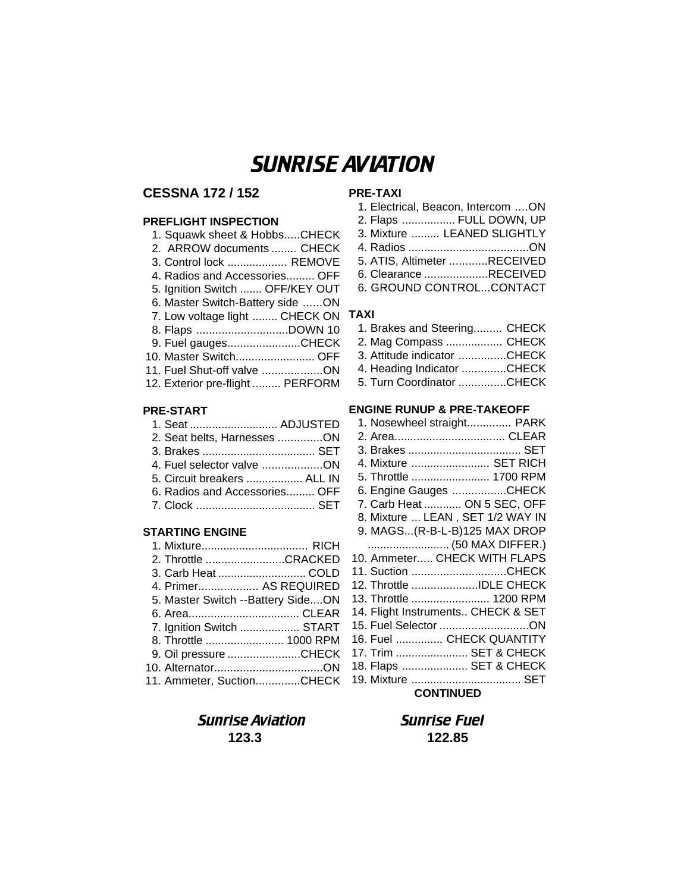# SUNRISE AVIATION

# **CESSNA 172 / 152**

#### **PREFLIGHT INSPECTION**

#### **PRE-START**

| 1. Seat  ADJUSTED             |  |
|-------------------------------|--|
| 2. Seat belts, Harnesses ON   |  |
|                               |  |
| 4. Fuel selector valve ON     |  |
| 5. Circuit breakers  ALL IN   |  |
| 6. Radios and Accessories OFF |  |
|                               |  |

#### **STARTING ENGINE**

| 1. Mixture RICH                     |  |
|-------------------------------------|--|
| 2. Throttle CRACKED                 |  |
|                                     |  |
| 4. Primer AS REQUIRED               |  |
| 5. Master Switch -- Battery Side ON |  |
|                                     |  |
| 7. Ignition Switch  START           |  |
| 8. Throttle  1000 RPM               |  |
| 9. Oil pressure CHECK               |  |
|                                     |  |
| 11. Ammeter, SuctionCHECK           |  |

# Sunrise Aviation Sunrise Fuel **123.3 122.85**

# **PRE-TAXI**

| 1. Electrical, Beacon, Intercom  ON |  |
|-------------------------------------|--|
| 2. Flaps  FULL DOWN, UP             |  |
| 3. Mixture  LEANED SLIGHTLY         |  |
|                                     |  |
| 5. ATIS, Altimeter RECEIVED         |  |
| 6. Clearance RECEIVED               |  |
| 6. GROUND CONTROLCONTACT            |  |

#### **TAXI**

| 1. Brakes and Steering CHECK |  |
|------------------------------|--|
| 2. Mag Compass  CHECK        |  |
| 3. Attitude indicator CHECK  |  |
| 4. Heading Indicator CHECK   |  |
| 5. Turn Coordinator CHECK    |  |

#### **ENGINE RUNUP & PRE-TAKEOFF**

| 1. Nosewheel straight PARK         |  |  |
|------------------------------------|--|--|
|                                    |  |  |
|                                    |  |  |
| 4. Mixture  SET RICH               |  |  |
| 5. Throttle  1700 RPM              |  |  |
| 6. Engine Gauges CHECK             |  |  |
| 7. Carb Heat  ON 5 SEC, OFF        |  |  |
| 8. Mixture  LEAN, SET 1/2 WAY IN   |  |  |
| 9. MAGS(R-B-L-B)125 MAX DROP       |  |  |
| (50 MAX DIFFER.)                   |  |  |
| 10. Ammeter CHECK WITH FLAPS       |  |  |
| 11. Suction CHECK                  |  |  |
| 12. Throttle IDLE CHECK            |  |  |
| 13. Throttle  1200 RPM             |  |  |
| 14. Flight Instruments CHECK & SET |  |  |
| 15. Fuel Selector ON               |  |  |
| 16. Fuel  CHECK QUANTITY           |  |  |
| 17. Trim  SET & CHECK              |  |  |
| 18. Flaps  SET & CHECK             |  |  |
|                                    |  |  |
| <b>CONTINUED</b>                   |  |  |